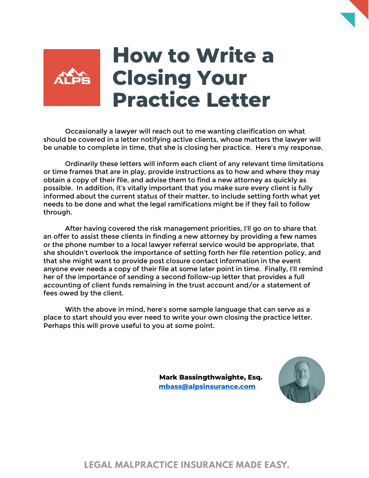## **How to Write a Closing Your Practice Letter**

Occasionally a lawyer will reach out to me wanting clarification on what should be covered in a letter notifying active clients, whose matters the lawyer will be unable to complete in time, that she is closing her practice. Here's my response.

Ordinarily these letters will inform each client of any relevant time limitations or time frames that are in play, provide instructions as to how and where they may obtain a copy of their file, and advise them to find a new attorney as quickly as possible. In addition, it's vitally important that you make sure every client is fully informed about the current status of their matter, to include setting forth what yet needs to be done and what the legal ramifications might be if they fail to follow through.

After having covered the risk management priorities, I'll go on to share that an offer to assist these clients in finding a new attorney by providing a few names or the phone number to a local lawyer referral service would be appropriate, that she shouldn't overlook the importance of setting forth her file retention policy, and that she might want to provide post closure contact information in the event anyone ever needs a copy of their file at some later point in time. Finally, I'll remind her of the importance of sending a second follow-up letter that provides a full accounting of client funds remaining in the trust account and/or a statement of fees owed by the client.

With the above in mind, here's some sample language that can serve as a place to start should you ever need to write your own closing the practice letter. Perhaps this will prove useful to you at some point.

> **Mark Bassingthwaighte, Esq. [mbass@alpsinsurance.com](mailto:mbass@alpsinsurance.com)**